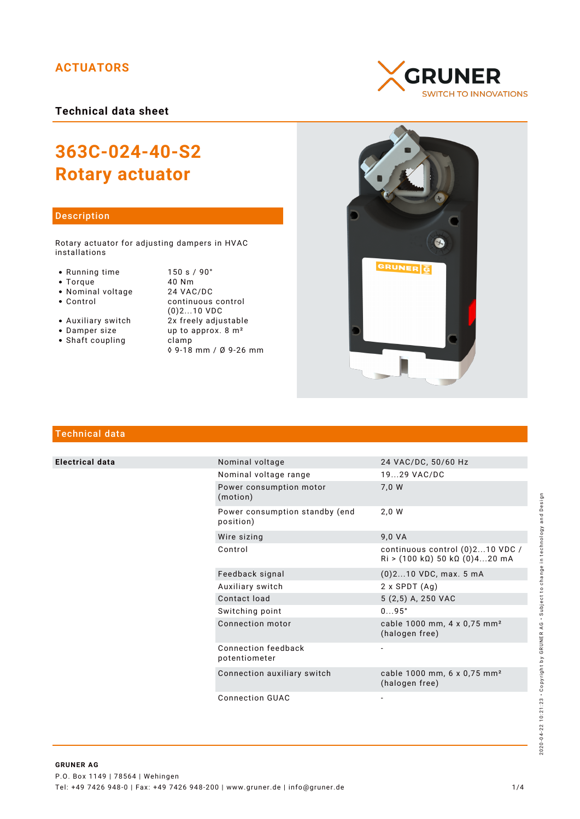# **ACTUATORS**

**Technical data sheet**

# **363C-024-40-S2 Rotary actuator**

## Description

Rotary actuator for adjusting dampers in HVAC installations

- 
- 
- 
- Nominal voltage<br>• Control
- 
- 
- Shaft coupling becamp

● Running time 150 s / 90°<br>● Torque 10 Nm • Torque 40 Nm<br>• Nominal voltage 24 VAC/DC continuous control (0)2...10 VDC • Auxiliary switch  $2x$  freely adjustable<br>• Damper size  $2x$  freely adjustable up to approx.  $8 \text{ m}^2$ ◊ 9-18 mm / Ø 9-26 mm





# Technical data

**Electrical data** 

| Nominal voltage                             | 24 VAC/DC, 50/60 Hz                                                                                         |
|---------------------------------------------|-------------------------------------------------------------------------------------------------------------|
| Nominal voltage range                       | 1929 VAC/DC                                                                                                 |
| Power consumption motor<br>(motion)         | 7,0 W                                                                                                       |
| Power consumption standby (end<br>position) | 2.0 W                                                                                                       |
| Wire sizing                                 | 9,0 VA                                                                                                      |
| Control                                     | continuous control (0)210 VDC /<br>$\text{Ri} > (100 \text{ k}\Omega) 50 \text{ k}\Omega (0)420 \text{ mA}$ |
| Feedback signal                             | $(0)$ 210 VDC, max. 5 mA                                                                                    |
| Auxiliary switch                            | $2 \times$ SPDT $(Aq)$                                                                                      |
| Contact load                                | 5 (2,5) A, 250 VAC                                                                                          |
| Switching point                             | $095^\circ$                                                                                                 |
| Connection motor                            | cable 1000 mm, 4 x 0,75 mm <sup>2</sup><br>(halogen free)                                                   |
| Connection feedback<br>potentiometer        | $\qquad \qquad \blacksquare$                                                                                |
| Connection auxiliary switch                 | cable 1000 mm, 6 x 0,75 mm <sup>2</sup><br>(halogen free)                                                   |
|                                             |                                                                                                             |

Connection GUAC

2020-04-22 10:21:23 · Copyright by GRUNER AG · Subject to change in technology and Design 2020-04-22 10:21:23 • Copyright by GRUNER AG • Subject to change in technology and Design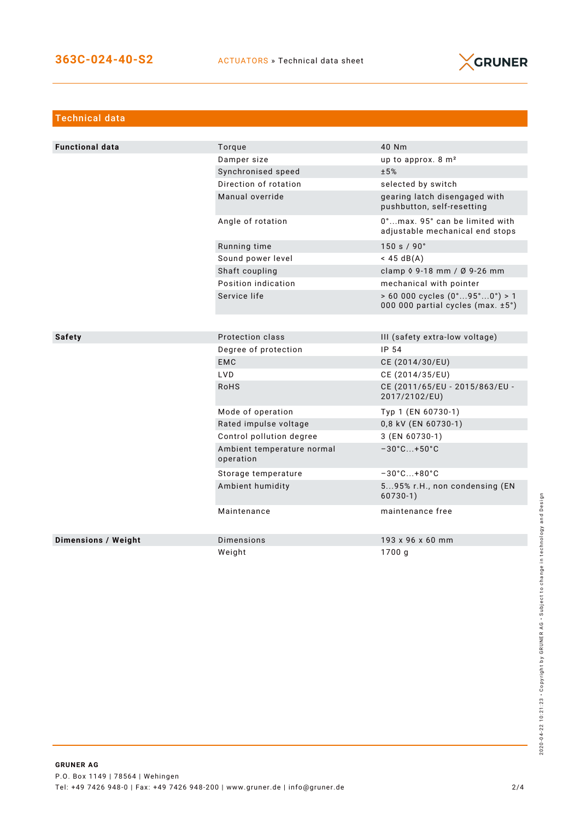

| <b>Technical data</b>  |                                         |                                                                                            |
|------------------------|-----------------------------------------|--------------------------------------------------------------------------------------------|
|                        |                                         |                                                                                            |
| <b>Functional data</b> | Torque                                  | 40 Nm                                                                                      |
|                        | Damper size                             | up to approx. 8 m <sup>2</sup>                                                             |
|                        | Synchronised speed                      | ±5%                                                                                        |
|                        | Direction of rotation                   | selected by switch                                                                         |
|                        | Manual override                         | gearing latch disengaged with<br>pushbutton, self-resetting                                |
|                        | Angle of rotation                       | 0°max. 95° can be limited with<br>adjustable mechanical end stops                          |
|                        | Running time                            | 150 s / 90°                                                                                |
|                        | Sound power level                       | $<$ 45 dB(A)                                                                               |
|                        | Shaft coupling                          | clamp 0 9-18 mm / Ø 9-26 mm                                                                |
|                        | Position indication                     | mechanical with pointer                                                                    |
|                        | Service life                            | $> 60000$ cycles $(0^{\circ}95^{\circ}0^{\circ}) > 1$<br>000 000 partial cycles (max. ±5°) |
|                        |                                         |                                                                                            |
| <b>Safety</b>          | Protection class                        | III (safety extra-low voltage)                                                             |
|                        | Degree of protection                    | IP 54                                                                                      |
|                        | <b>EMC</b>                              | CE (2014/30/EU)                                                                            |
|                        | LVD                                     | CE (2014/35/EU)                                                                            |
|                        | <b>RoHS</b>                             | CE (2011/65/EU - 2015/863/EU -<br>2017/2102/EU)                                            |
|                        | Mode of operation                       | Typ 1 (EN 60730-1)                                                                         |
|                        | Rated impulse voltage                   | 0,8 kV (EN 60730-1)                                                                        |
|                        | Control pollution degree                | 3 (EN 60730-1)                                                                             |
|                        | Ambient temperature normal<br>operation | $-30^{\circ}$ C+50 $^{\circ}$ C                                                            |
|                        | Storage temperature                     | $-30^{\circ}$ C +80 $^{\circ}$ C                                                           |
|                        | Ambient humidity                        | 595% r.H., non condensing (EN<br>$60730-1)$                                                |
|                        | Maintenance                             | maintenance free                                                                           |
| Dimensions / Weight    | Dimensions                              | 193 x 96 x 60 mm                                                                           |
|                        | Weight                                  | 1700 g                                                                                     |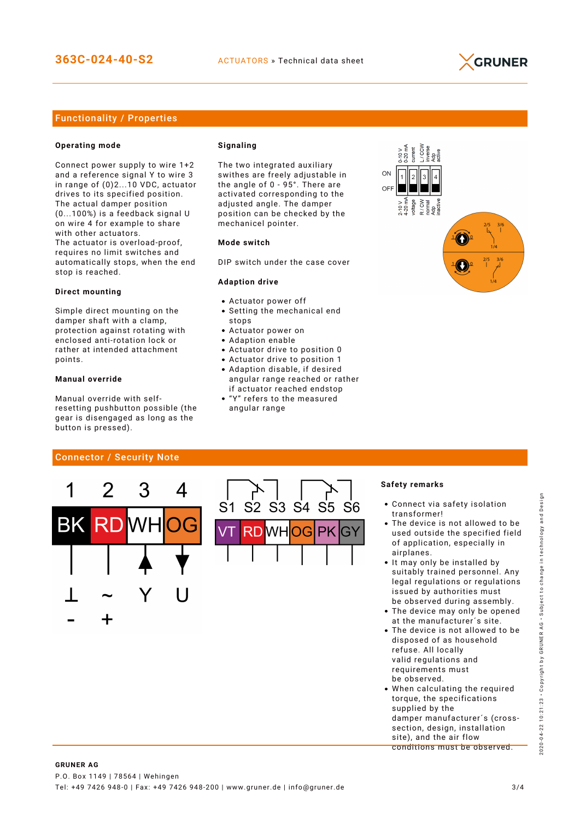

## Functionality / Properties

#### **Operating mode**

Connect power supply to wire 1+2 and a reference signal Y to wire 3 in range of (0)2...10 VDC, actuator drives to its specified position. The actual damper position (0...100%) is a feedback signal U on wire 4 for example to share with other actuators. The actuator is overload-proof, requires no limit switches and automatically stops, when the end stop is reached.

#### **Direct mounting**

Simple direct mounting on the damper shaft with a clamp, protection against rotating with enclosed anti-rotation lock or rather at intended attachment points.

#### **Manual override**

Manual override with selfresetting pushbutton possible (the gear is disengaged as long as the button is pressed).

#### **Signaling**

The two integrated auxiliary swithes are freely adjustable in the angle of 0 - 95°. There are activated corresponding to the adjusted angle. The damper position can be checked by the mechanicel pointer.

#### **Mode switch**

DIP switch under the case cover

#### **Adaption drive**

- Actuator power off
- Setting the mechanical end stops
- Actuator power on
- Adaption enable
- Actuator drive to position 0
- Actuator drive to position 1 Adaption disable, if desired angular range reached or rather
- if actuator reached endstop "Y" refers to the measured
- angular range



## Connector / Security Note



#### **Safety remarks**

- Connect via safety isolation transformer!
- The device is not allowed to be used outside the specified field of application, especially in airplanes.
- It may only be installed by suitably trained personnel. Any legal regulations or regulations issued by authorities must be observed during assembly.
- The device may only be opened at the manufacturer´s site.
- The device is not allowed to be disposed of as household refuse. All locally valid regulations and requirements must be observed.
- When calculating the required torque, the specifications supplied by the damper manufacturer´s (crosssection, design, installation site), and the air flow conditions must be observed.